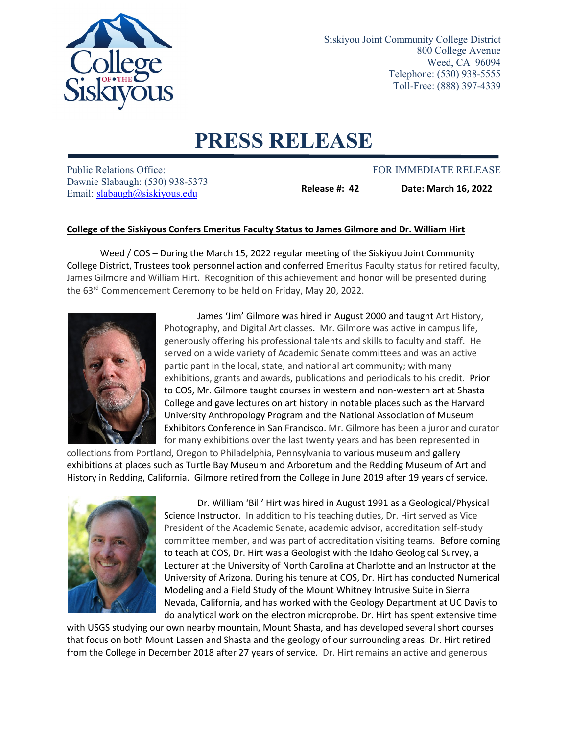

Siskiyou Joint Community College District 800 College Avenue Weed, CA 96094 Telephone: (530) 938-5555 Toll-Free: (888) 397-4339

## **PRESS RELEASE**

Public Relations Office: The Public Relations Office: FOR IMMEDIATE RELEASE Dawnie Slabaugh: (530) 938-5373 Email: slabaugh@siskiyous.edu

**Release #: 42 Date: March 16, 2022**

## **College of the Siskiyous Confers Emeritus Faculty Status to James Gilmore and Dr. William Hirt**

Weed / COS – During the March 15, 2022 regular meeting of the Siskiyou Joint Community College District, Trustees took personnel action and conferred Emeritus Faculty status for retired faculty, James Gilmore and William Hirt. Recognition of this achievement and honor will be presented during the 63<sup>rd</sup> Commencement Ceremony to be held on Friday, May 20, 2022.



James 'Jim' Gilmore was hired in August 2000 and taught Art History, Photography, and Digital Art classes. Mr. Gilmore was active in campus life, generously offering his professional talents and skills to faculty and staff. He served on a wide variety of Academic Senate committees and was an active participant in the local, state, and national art community; with many exhibitions, grants and awards, publications and periodicals to his credit. Prior to COS, Mr. Gilmore taught courses in western and non-western art at Shasta College and gave lectures on art history in notable places such as the Harvard University Anthropology Program and the National Association of Museum Exhibitors Conference in San Francisco. Mr. Gilmore has been a juror and curator for many exhibitions over the last twenty years and has been represented in

collections from Portland, Oregon to Philadelphia, Pennsylvania to various museum and gallery exhibitions at places such as Turtle Bay Museum and Arboretum and the Redding Museum of Art and History in Redding, California. Gilmore retired from the College in June 2019 after 19 years of service.



Dr. William 'Bill' Hirt was hired in August 1991 as a Geological/Physical Science Instructor. In addition to his teaching duties, Dr. Hirt served as Vice President of the Academic Senate, academic advisor, accreditation self-study committee member, and was part of accreditation visiting teams. Before coming to teach at COS, Dr. Hirt was a Geologist with the Idaho Geological Survey, a Lecturer at the University of North Carolina at Charlotte and an Instructor at the University of Arizona. During his tenure at COS, Dr. Hirt has conducted Numerical Modeling and a Field Study of the Mount Whitney Intrusive Suite in Sierra Nevada, California, and has worked with the Geology Department at UC Davis to do analytical work on the electron microprobe. Dr. Hirt has spent extensive time

with USGS studying our own nearby mountain, Mount Shasta, and has developed several short courses that focus on both Mount Lassen and Shasta and the geology of our surrounding areas. Dr. Hirt retired from the College in December 2018 after 27 years of service. Dr. Hirt remains an active and generous